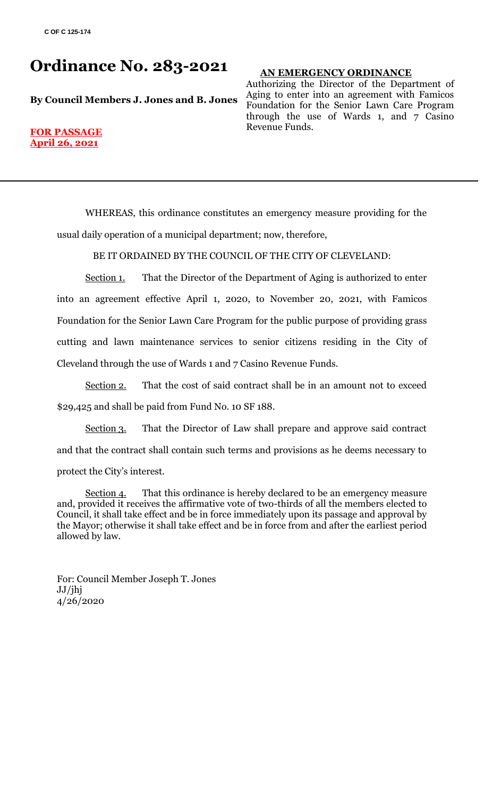# **Ordinance No. 283-2021**

**By Council Members J. Jones and B. Jones**

## **AN EMERGENCY ORDINANCE**

Authorizing the Director of the Department of Aging to enter into an agreement with Famicos Foundation for the Senior Lawn Care Program through the use of Wards 1, and 7 Casino Revenue Funds.

#### **FOR PASSAGE April 26, 2021**

WHEREAS, this ordinance constitutes an emergency measure providing for the usual daily operation of a municipal department; now, therefore,

BE IT ORDAINED BY THE COUNCIL OF THE CITY OF CLEVELAND:

Section 1. That the Director of the Department of Aging is authorized to enter into an agreement effective April 1, 2020, to November 20, 2021, with Famicos Foundation for the Senior Lawn Care Program for the public purpose of providing grass cutting and lawn maintenance services to senior citizens residing in the City of Cleveland through the use of Wards 1 and 7 Casino Revenue Funds.

Section 2. That the cost of said contract shall be in an amount not to exceed \$29,425 and shall be paid from Fund No. 10 SF 188.

Section 3. That the Director of Law shall prepare and approve said contract and that the contract shall contain such terms and provisions as he deems necessary to protect the City's interest.

Section 4. That this ordinance is hereby declared to be an emergency measure and, provided it receives the affirmative vote of two-thirds of all the members elected to Council, it shall take effect and be in force immediately upon its passage and approval by the Mayor; otherwise it shall take effect and be in force from and after the earliest period allowed by law.

For: Council Member Joseph T. Jones JJ/jhj 4/26/2020